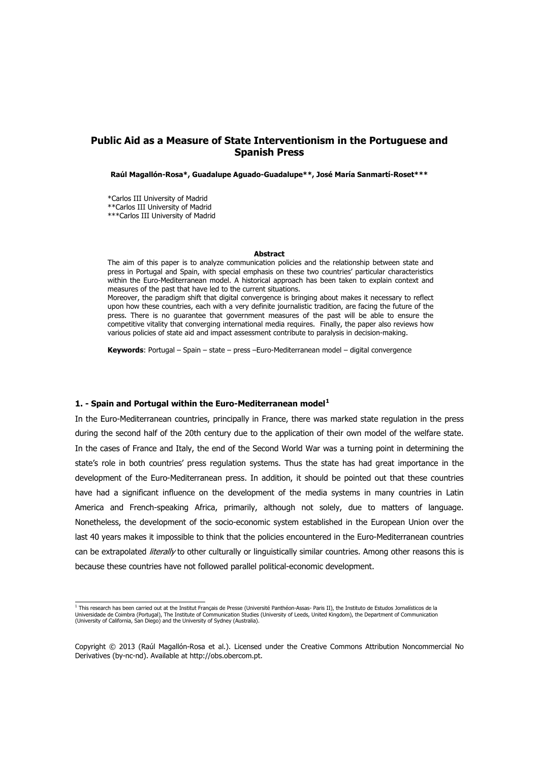# **Public Aid as a Measure of State Interventionism in the Portuguese and Spanish Press**

**Raúl Magallón-Rosa\*, Guadalupe Aguado-Guadalupe\*\*, José María Sanmartí-Roset\*\*\*** 

\*Carlos III University of Madrid \*\*Carlos III University of Madrid \*\*\*Carlos III University of Madrid

#### **Abstract**

The aim of this paper is to analyze communication policies and the relationship between state and press in Portugal and Spain, with special emphasis on these two countries' particular characteristics within the Euro-Mediterranean model. A historical approach has been taken to explain context and measures of the past that have led to the current situations.

Moreover, the paradigm shift that digital convergence is bringing about makes it necessary to reflect upon how these countries, each with a very definite journalistic tradition, are facing the future of the press. There is no guarantee that government measures of the past will be able to ensure the competitive vitality that converging international media requires. Finally, the paper also reviews how various policies of state aid and impact assessment contribute to paralysis in decision-making.

**Keywords**: Portugal – Spain – state – press –Euro-Mediterranean model – digital convergence

#### **1. - Spain and Portugal within the Euro-Mediterranean model[1](#page-0-0)**

In the Euro-Mediterranean countries, principally in France, there was marked state regulation in the press during the second half of the 20th century due to the application of their own model of the welfare state. In the cases of France and Italy, the end of the Second World War was a turning point in determining the state's role in both countries' press regulation systems. Thus the state has had great importance in the development of the Euro-Mediterranean press. In addition, it should be pointed out that these countries have had a significant influence on the development of the media systems in many countries in Latin America and French-speaking Africa, primarily, although not solely, due to matters of language. Nonetheless, the development of the socio-economic system established in the European Union over the last 40 years makes it impossible to think that the policies encountered in the Euro-Mediterranean countries can be extrapolated *literally* to other culturally or linguistically similar countries. Among other reasons this is because these countries have not followed parallel political-economic development.

<span id="page-0-0"></span><sup>&</sup>lt;u>.</u><br>I This research has been carried out at the Institut Français de Presse (Université Panthéon-Assas- Paris II), the Instituto de Estudos Jornalísticos de la Universidade de Coimbra (Portugal), The Institute of Communication Studies (University of Leeds, United Kingdom), the Department of Communication (University of California, San Diego) and the University of Sydney (Australia).

Copyright © 2013 (Raúl Magallón-Rosa et al.). Licensed under the Creative Commons Attribution Noncommercial No Derivatives (by-nc-nd). Available at http://obs.obercom.pt.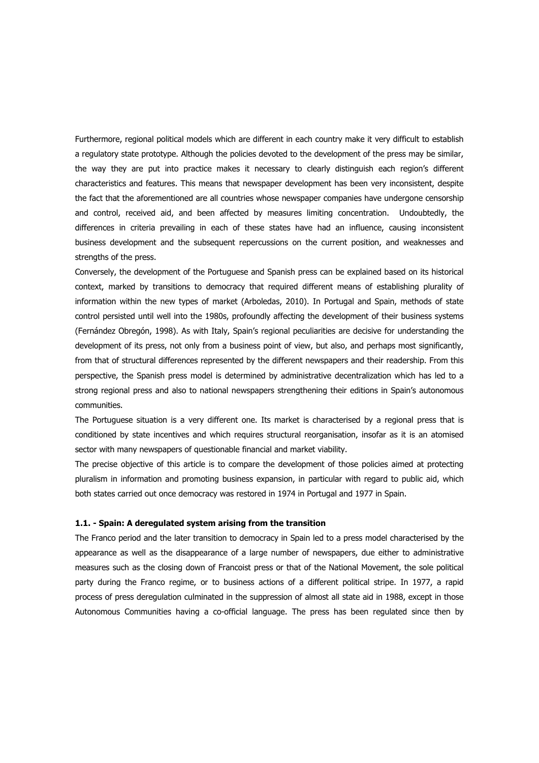Furthermore, regional political models which are different in each country make it very difficult to establish a regulatory state prototype. Although the policies devoted to the development of the press may be similar, the way they are put into practice makes it necessary to clearly distinguish each region's different characteristics and features. This means that newspaper development has been very inconsistent, despite the fact that the aforementioned are all countries whose newspaper companies have undergone censorship and control, received aid, and been affected by measures limiting concentration. Undoubtedly, the differences in criteria prevailing in each of these states have had an influence, causing inconsistent business development and the subsequent repercussions on the current position, and weaknesses and strengths of the press.

Conversely, the development of the Portuguese and Spanish press can be explained based on its historical context, marked by transitions to democracy that required different means of establishing plurality of information within the new types of market (Arboledas, 2010). In Portugal and Spain, methods of state control persisted until well into the 1980s, profoundly affecting the development of their business systems (Fernández Obregón, 1998). As with Italy, Spain's regional peculiarities are decisive for understanding the development of its press, not only from a business point of view, but also, and perhaps most significantly, from that of structural differences represented by the different newspapers and their readership. From this perspective, the Spanish press model is determined by administrative decentralization which has led to a strong regional press and also to national newspapers strengthening their editions in Spain's autonomous communities.

The Portuguese situation is a very different one. Its market is characterised by a regional press that is conditioned by state incentives and which requires structural reorganisation, insofar as it is an atomised sector with many newspapers of questionable financial and market viability.

The precise objective of this article is to compare the development of those policies aimed at protecting pluralism in information and promoting business expansion, in particular with regard to public aid, which both states carried out once democracy was restored in 1974 in Portugal and 1977 in Spain.

### **1.1. - Spain: A deregulated system arising from the transition**

The Franco period and the later transition to democracy in Spain led to a press model characterised by the appearance as well as the disappearance of a large number of newspapers, due either to administrative measures such as the closing down of Francoist press or that of the National Movement, the sole political party during the Franco regime, or to business actions of a different political stripe. In 1977, a rapid process of press deregulation culminated in the suppression of almost all state aid in 1988, except in those Autonomous Communities having a co-official language. The press has been regulated since then by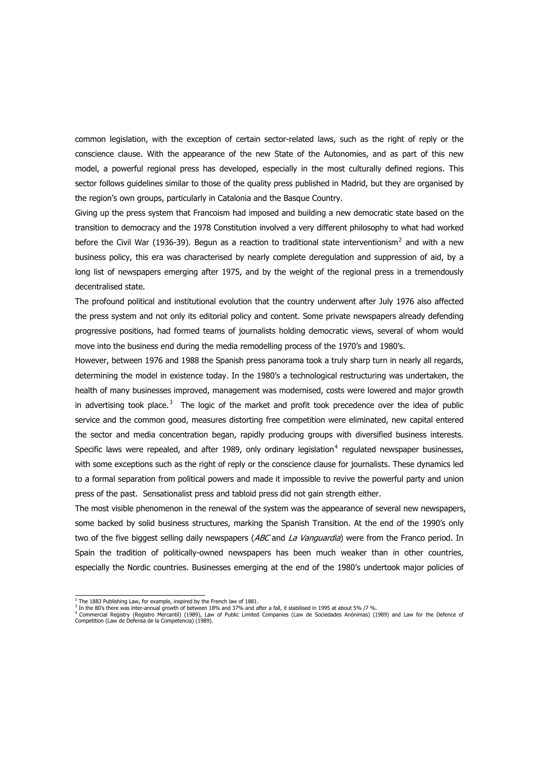common legislation, with the exception of certain sector-related laws, such as the right of reply or the conscience clause. With the appearance of the new State of the Autonomies, and as part of this new model, a powerful regional press has developed, especially in the most culturally defined regions. This sector follows guidelines similar to those of the quality press published in Madrid, but they are organised by the region's own groups, particularly in Catalonia and the Basque Country.

Giving up the press system that Francoism had imposed and building a new democratic state based on the transition to democracy and the 1978 Constitution involved a very different philosophy to what had worked before the Civil War (1936-39). Begun as a reaction to traditional state interventionism<sup>[2](#page-2-0)</sup> and with a new business policy, this era was characterised by nearly complete deregulation and suppression of aid, by a long list of newspapers emerging after 1975, and by the weight of the regional press in a tremendously decentralised state.

The profound political and institutional evolution that the country underwent after July 1976 also affected the press system and not only its editorial policy and content. Some private newspapers already defending progressive positions, had formed teams of journalists holding democratic views, several of whom would move into the business end during the media remodelling process of the 1970's and 1980's.

However, between 1976 and 1988 the Spanish press panorama took a truly sharp turn in nearly all regards, determining the model in existence today. In the 1980's a technological restructuring was undertaken, the health of many businesses improved, management was modernised, costs were lowered and major growth in advertising took place. $3$  The logic of the market and profit took precedence over the idea of public service and the common good, measures distorting free competition were eliminated, new capital entered the sector and media concentration began, rapidly producing groups with diversified business interests. Specific laws were repealed, and after 1989, only ordinary legislation<sup>[4](#page-2-2)</sup> regulated newspaper businesses, with some exceptions such as the right of reply or the conscience clause for journalists. These dynamics led to a formal separation from political powers and made it impossible to revive the powerful party and union press of the past. Sensationalist press and tabloid press did not gain strength either.

The most visible phenomenon in the renewal of the system was the appearance of several new newspapers, some backed by solid business structures, marking the Spanish Transition. At the end of the 1990's only two of the five biggest selling daily newspapers (ABC and La Vanguardia) were from the Franco period. In Spain the tradition of politically-owned newspapers has been much weaker than in other countries, especially the Nordic countries. Businesses emerging at the end of the 1980's undertook major policies of

 $\frac{1}{2}$  The 1883 Publishing Law, for example, inspired by the French law of 1881.

<span id="page-2-2"></span><span id="page-2-1"></span><span id="page-2-0"></span><sup>&</sup>lt;sup>3</sup> In the 80's there was inter-annual growth of between 18% and 37% and after a fall, it stabilised in 1995 at about 5% /7 %.<br><sup>4</sup> Commercial Registry (Registro Mercantil) (1989), Law of Public Limited Companies (Law de So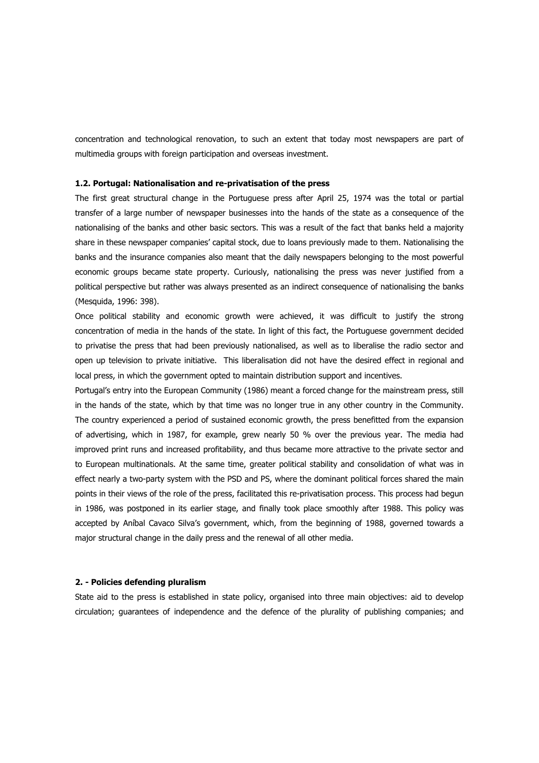concentration and technological renovation, to such an extent that today most newspapers are part of multimedia groups with foreign participation and overseas investment.

# **1.2. Portugal: Nationalisation and re-privatisation of the press**

The first great structural change in the Portuguese press after April 25, 1974 was the total or partial transfer of a large number of newspaper businesses into the hands of the state as a consequence of the nationalising of the banks and other basic sectors. This was a result of the fact that banks held a majority share in these newspaper companies' capital stock, due to loans previously made to them. Nationalising the banks and the insurance companies also meant that the daily newspapers belonging to the most powerful economic groups became state property. Curiously, nationalising the press was never justified from a political perspective but rather was always presented as an indirect consequence of nationalising the banks (Mesquida, 1996: 398).

Once political stability and economic growth were achieved, it was difficult to justify the strong concentration of media in the hands of the state. In light of this fact, the Portuguese government decided to privatise the press that had been previously nationalised, as well as to liberalise the radio sector and open up television to private initiative. This liberalisation did not have the desired effect in regional and local press, in which the government opted to maintain distribution support and incentives.

Portugal's entry into the European Community (1986) meant a forced change for the mainstream press, still in the hands of the state, which by that time was no longer true in any other country in the Community. The country experienced a period of sustained economic growth, the press benefitted from the expansion of advertising, which in 1987, for example, grew nearly 50 % over the previous year. The media had improved print runs and increased profitability, and thus became more attractive to the private sector and to European multinationals. At the same time, greater political stability and consolidation of what was in effect nearly a two-party system with the PSD and PS, where the dominant political forces shared the main points in their views of the role of the press, facilitated this re-privatisation process. This process had begun in 1986, was postponed in its earlier stage, and finally took place smoothly after 1988. This policy was accepted by Aníbal Cavaco Silva's government, which, from the beginning of 1988, governed towards a major structural change in the daily press and the renewal of all other media.

# **2. - Policies defending pluralism**

State aid to the press is established in state policy, organised into three main objectives: aid to develop circulation; guarantees of independence and the defence of the plurality of publishing companies; and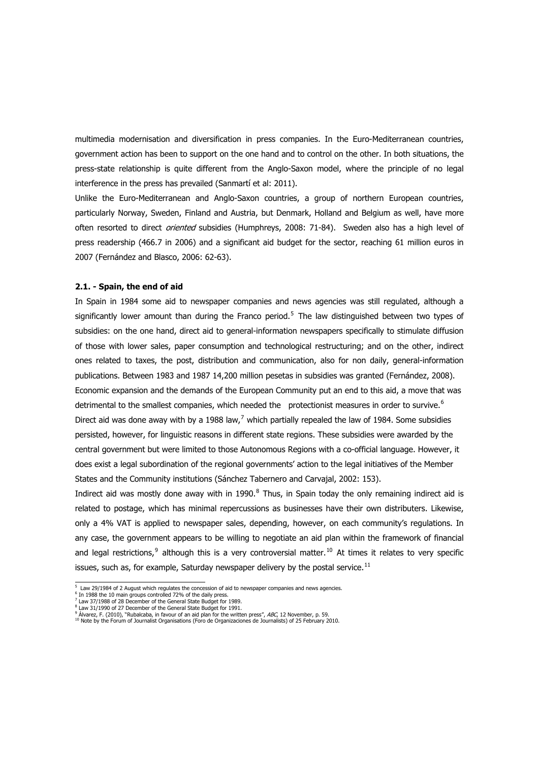multimedia modernisation and diversification in press companies. In the Euro-Mediterranean countries, government action has been to support on the one hand and to control on the other. In both situations, the press-state relationship is quite different from the Anglo-Saxon model, where the principle of no legal interference in the press has prevailed (Sanmartí et al: 2011).

Unlike the Euro-Mediterranean and Anglo-Saxon countries, a group of northern European countries, particularly Norway, Sweden, Finland and Austria, but Denmark, Holland and Belgium as well, have more often resorted to direct *oriented* subsidies (Humphreys, 2008: 71-84). Sweden also has a high level of press readership (466.7 in 2006) and a significant aid budget for the sector, reaching 61 million euros in 2007 (Fernández and Blasco, 2006: 62-63).

#### **2.1. - Spain, the end of aid**

In Spain in 1984 some aid to newspaper companies and news agencies was still regulated, although a significantly lower amount than during the Franco period.<sup>[5](#page-4-0)</sup> The law distinguished between two types of subsidies: on the one hand, direct aid to general-information newspapers specifically to stimulate diffusion of those with lower sales, paper consumption and technological restructuring; and on the other, indirect ones related to taxes, the post, distribution and communication, also for non daily, general-information publications. Between 1983 and 1987 14,200 million pesetas in subsidies was granted (Fernández, 2008). Economic expansion and the demands of the European Community put an end to this aid, a move that was detrimental to the smallest companies, which needed the protectionist measures in order to survive.<sup>[6](#page-4-1)</sup> Direct aid was done away with by a 1988 law,<sup>[7](#page-4-2)</sup> which partially repealed the law of 1984. Some subsidies persisted, however, for linguistic reasons in different state regions. These subsidies were awarded by the central government but were limited to those Autonomous Regions with a co-official language. However, it does exist a legal subordination of the regional governments' action to the legal initiatives of the Member States and the Community institutions (Sánchez Tabernero and Carvajal, 2002: 153).

Indirect aid was mostly done away with in 1990. $^8$  $^8$  Thus, in Spain today the only remaining indirect aid is related to postage, which has minimal repercussions as businesses have their own distributers. Likewise, only a 4% VAT is applied to newspaper sales, depending, however, on each community's regulations. In any case, the government appears to be willing to negotiate an aid plan within the framework of financial and legal restrictions,<sup>[9](#page-4-4)</sup> although this is a very controversial matter.<sup>[10](#page-4-5)</sup> At times it relates to very specific issues, such as, for example, Saturday newspaper delivery by the postal service. $^{11}$  $^{11}$  $^{11}$ 

<span id="page-4-0"></span> 5 Law 29/1984 of 2 August which regulates the concession of aid to newspaper companies and news agencies.

<span id="page-4-1"></span><sup>&</sup>lt;sup>6</sup> In 1988 the 10 main groups controlled 72% of the daily press.

<sup>&</sup>lt;sup>7</sup> Law 37/1988 of 28 December of the General State Budget for 1989.

<span id="page-4-5"></span>

<span id="page-4-4"></span><span id="page-4-3"></span><span id="page-4-2"></span><sup>&</sup>lt;sup>8</sup> Law 31/1990 of 27 December of the General State Budget for 1991.<br><sup>9</sup> Álvarez, F. (2010), "Rubalcaba, in favour of an aid plan for the written press", *ABC*, 12 November, p. 59.<br><sup>10</sup> Note by the Forum of Journalist Orga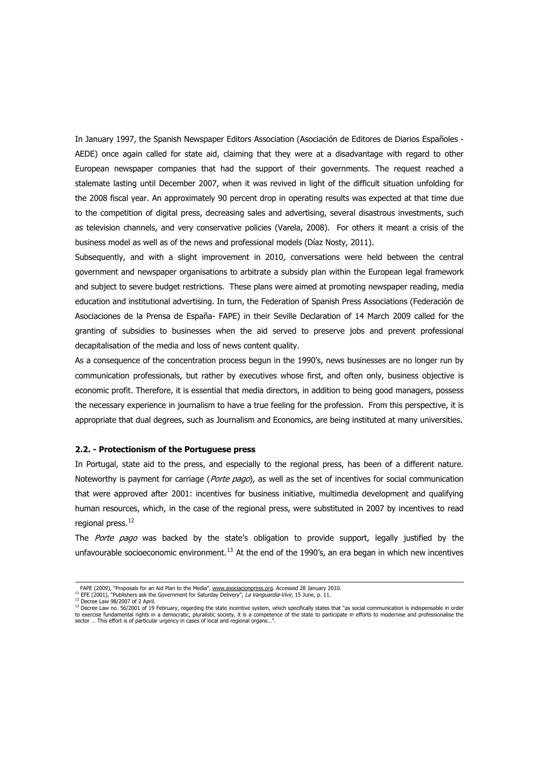In January 1997, the Spanish Newspaper Editors Association (Asociación de Editores de Diarios Españoles - AEDE) once again called for state aid, claiming that they were at a disadvantage with regard to other European newspaper companies that had the support of their governments. The request reached a stalemate lasting until December 2007, when it was revived in light of the difficult situation unfolding for the 2008 fiscal year. An approximately 90 percent drop in operating results was expected at that time due to the competition of digital press, decreasing sales and advertising, several disastrous investments, such as television channels, and very conservative policies (Varela, 2008). For others it meant a crisis of the business model as well as of the news and professional models (Díaz Nosty, 2011).

Subsequently, and with a slight improvement in 2010, conversations were held between the central government and newspaper organisations to arbitrate a subsidy plan within the European legal framework and subject to severe budget restrictions. These plans were aimed at promoting newspaper reading, media education and institutional advertising. In turn, the Federation of Spanish Press Associations (Federación de Asociaciones de la Prensa de España- FAPE) in their Seville Declaration of 14 March 2009 called for the granting of subsidies to businesses when the aid served to preserve jobs and prevent professional decapitalisation of the media and loss of news content quality.

As a consequence of the concentration process begun in the 1990's, news businesses are no longer run by communication professionals, but rather by executives whose first, and often only, business objective is economic profit. Therefore, it is essential that media directors, in addition to being good managers, possess the necessary experience in journalism to have a true feeling for the profession. From this perspective, it is appropriate that dual degrees, such as Journalism and Economics, are being instituted at many universities.

#### **2.2. - Protectionism of the Portuguese press**

In Portugal, state aid to the press, and especially to the regional press, has been of a different nature. Noteworthy is payment for carriage (*Porte pago*), as well as the set of incentives for social communication that were approved after 2001: incentives for business initiative, multimedia development and qualifying human resources, which, in the case of the regional press, were substituted in 2007 by incentives to read regional press.<sup>[12](#page-5-0)</sup>

The Porte pago was backed by the state's obligation to provide support, legally justified by the unfavourable socioeconomic environment.<sup>[13](#page-5-1)</sup> At the end of the 1990's, an era began in which new incentives

1

FAPE (2009), "Proposals for an Aid Plan to the Media", [www.asociacionpress.org.](http://www.asociacionprensa.org/) Accessed 28 January 2010.<br><sup>11</sup> EFE (2001), "Publishers ask the Government for Saturday Delivery", La Vanguardia-Vivir, 15 June, p. 11.<br><sup>12</sup> De

<span id="page-5-1"></span><span id="page-5-0"></span><sup>&</sup>lt;sup>13</sup> Decree Law no. 56/2001 of 19 February, regarding the state incentive system, which specifically states that "as social communication is indispensable in order<br>to exercise fundamental rights in a democratic, pluralisti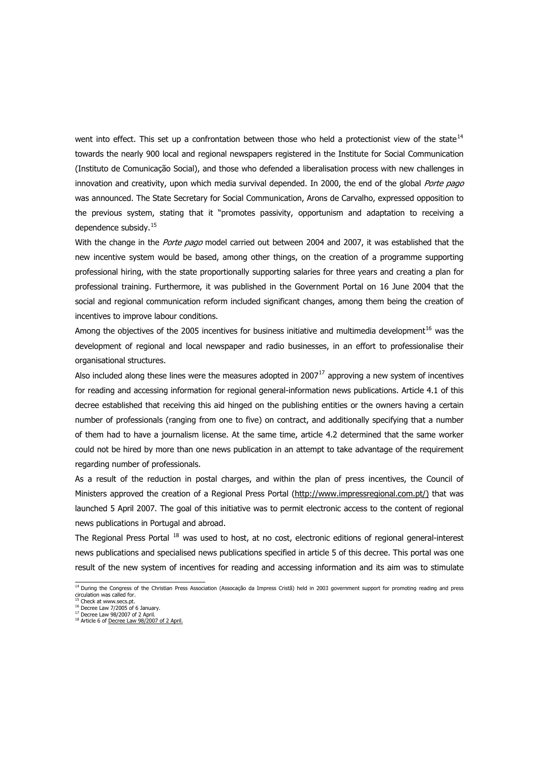went into effect. This set up a confrontation between those who held a protectionist view of the state<sup>[14](#page-6-0)</sup> towards the nearly 900 local and regional newspapers registered in the Institute for Social Communication (Instituto de Comunicação Social), and those who defended a liberalisation process with new challenges in innovation and creativity, upon which media survival depended. In 2000, the end of the global Porte pago was announced. The State Secretary for Social Communication, Arons de Carvalho, expressed opposition to the previous system, stating that it "promotes passivity, opportunism and adaptation to receiving a dependence subsidy.<sup>[15](#page-6-1)</sup>

With the change in the Porte pago model carried out between 2004 and 2007, it was established that the new incentive system would be based, among other things, on the creation of a programme supporting professional hiring, with the state proportionally supporting salaries for three years and creating a plan for professional training. Furthermore, it was published in the Government Portal on 16 June 2004 that the social and regional communication reform included significant changes, among them being the creation of incentives to improve labour conditions.

Among the objectives of the 2005 incentives for business initiative and multimedia development<sup>[16](#page-6-2)</sup> was the development of regional and local newspaper and radio businesses, in an effort to professionalise their organisational structures.

Also included along these lines were the measures adopted in 2007 $^{17}$  $^{17}$  $^{17}$  approving a new system of incentives for reading and accessing information for regional general-information news publications. Article 4.1 of this decree established that receiving this aid hinged on the publishing entities or the owners having a certain number of professionals (ranging from one to five) on contract, and additionally specifying that a number of them had to have a journalism license. At the same time, article 4.2 determined that the same worker could not be hired by more than one news publication in an attempt to take advantage of the requirement regarding number of professionals.

As a result of the reduction in postal charges, and within the plan of press incentives, the Council of Ministers approved the creation of a Regional Press Portal ([http://www.impressregional.com.pt/](http://www.imprensaregional.com.pt/)) that was launched 5 April 2007. The goal of this initiative was to permit electronic access to the content of regional news publications in Portugal and abroad.

The Regional Press Portal <sup>[18](#page-6-4)</sup> was used to host, at no cost, electronic editions of regional general-interest news publications and specialised news publications specified in article 5 of this decree. This portal was one result of the new system of incentives for reading and accessing information and its aim was to stimulate

<span id="page-6-0"></span> 14 During the Congress of the Christian Press Association (Assocação da Impress Cristã) held in 2003 government support for promoting reading and press circulation was called for. 15 Check at www.secs.pt.

<span id="page-6-1"></span><sup>16</sup> Decree Law 7/2005 of 6 January.

<span id="page-6-3"></span><span id="page-6-2"></span><sup>&</sup>lt;sup>17</sup> Decree Law 98/2007 of 2 April.

<span id="page-6-4"></span> $18$  Article 6 of [Decree Law 98/2007 of 2 April](http://www.ics.pt/verfs.php?fscod=1033&lang=pt).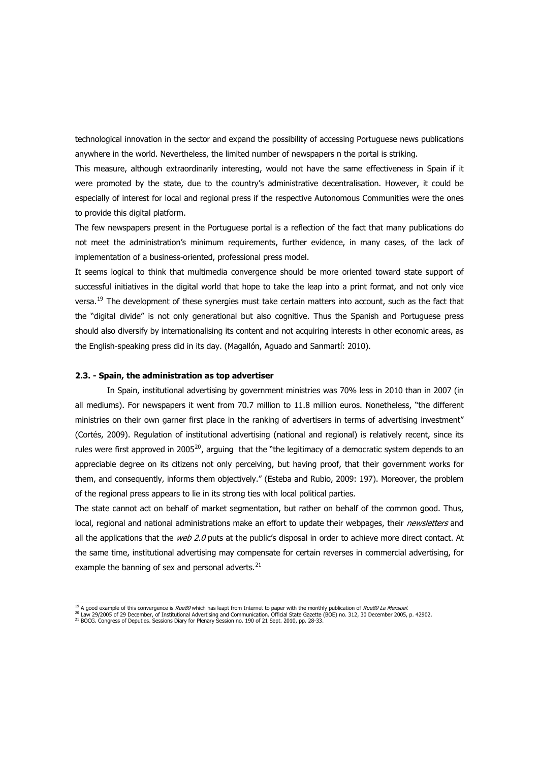technological innovation in the sector and expand the possibility of accessing Portuguese news publications anywhere in the world. Nevertheless, the limited number of newspapers n the portal is striking.

This measure, although extraordinarily interesting, would not have the same effectiveness in Spain if it were promoted by the state, due to the country's administrative decentralisation. However, it could be especially of interest for local and regional press if the respective Autonomous Communities were the ones to provide this digital platform.

The few newspapers present in the Portuguese portal is a reflection of the fact that many publications do not meet the administration's minimum requirements, further evidence, in many cases, of the lack of implementation of a business-oriented, professional press model.

It seems logical to think that multimedia convergence should be more oriented toward state support of successful initiatives in the digital world that hope to take the leap into a print format, and not only vice versa.<sup>[19](#page-7-0)</sup> The development of these synergies must take certain matters into account, such as the fact that the "digital divide" is not only generational but also cognitive. Thus the Spanish and Portuguese press should also diversify by internationalising its content and not acquiring interests in other economic areas, as the English-speaking press did in its day. (Magallón, Aguado and Sanmartí: 2010).

#### **2.3. - Spain, the administration as top advertiser**

In Spain, institutional advertising by government ministries was 70% less in 2010 than in 2007 (in all mediums). For newspapers it went from 70.7 million to 11.8 million euros. Nonetheless, "the different ministries on their own garner first place in the ranking of advertisers in terms of advertising investment" (Cortés, 2009). Regulation of institutional advertising (national and regional) is relatively recent, since its rules were first approved in [20](#page-7-1)05<sup>20</sup>, arguing that the "the legitimacy of a democratic system depends to an appreciable degree on its citizens not only perceiving, but having proof, that their government works for them, and consequently, informs them objectively." (Esteba and Rubio, 2009: 197). Moreover, the problem of the regional press appears to lie in its strong ties with local political parties.

The state cannot act on behalf of market segmentation, but rather on behalf of the common good. Thus, local, regional and national administrations make an effort to update their webpages, their *newsletters* and all the applications that the web 2.0 puts at the public's disposal in order to achieve more direct contact. At the same time, institutional advertising may compensate for certain reverses in commercial advertising, for example the banning of sex and personal adverts.<sup>[21](#page-7-2)</sup>

<span id="page-7-1"></span>

<span id="page-7-0"></span><sup>&</sup>lt;sup>19</sup> A good example of this convergence is *Rue89* which has leapt from Internet to paper with the monthly publication of *Rue89 Le Mensuel.*<br><sup>20</sup> Law 29/2005 of 29 December, of Institutional Advertising and Communication.

<span id="page-7-2"></span>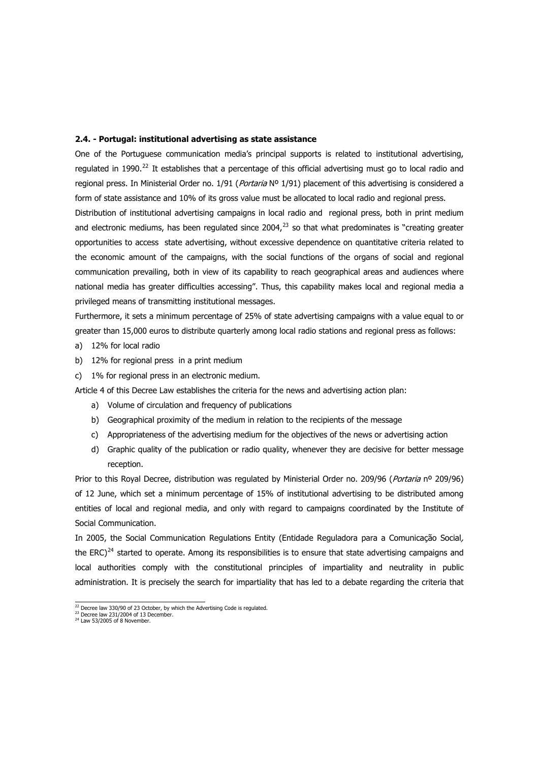#### **2.4. - Portugal: institutional advertising as state assistance**

One of the Portuguese communication media's principal supports is related to institutional advertising, regulated in 1990.<sup>[22](#page-8-0)</sup> It establishes that a percentage of this official advertising must go to local radio and regional press. In Ministerial Order no. 1/91 (*Portaria* Nº 1/91) placement of this advertising is considered a form of state assistance and 10% of its gross value must be allocated to local radio and regional press.

Distribution of institutional advertising campaigns in local radio and regional press, both in print medium and electronic mediums, has been regulated since 2004, $^{23}$  $^{23}$  $^{23}$  so that what predominates is "creating greater opportunities to access state advertising, without excessive dependence on quantitative criteria related to the economic amount of the campaigns, with the social functions of the organs of social and regional communication prevailing, both in view of its capability to reach geographical areas and audiences where national media has greater difficulties accessing". Thus, this capability makes local and regional media a privileged means of transmitting institutional messages.

Furthermore, it sets a minimum percentage of 25% of state advertising campaigns with a value equal to or greater than 15,000 euros to distribute quarterly among local radio stations and regional press as follows:

- a) 12% for local radio
- b) 12% for regional press in a print medium
- c) 1% for regional press in an electronic medium.

Article 4 of this Decree Law establishes the criteria for the news and advertising action plan:

- a) Volume of circulation and frequency of publications
- b) Geographical proximity of the medium in relation to the recipients of the message
- c) Appropriateness of the advertising medium for the objectives of the news or advertising action
- d) Graphic quality of the publication or radio quality, whenever they are decisive for better message reception.

Prior to this Royal Decree, distribution was regulated by Ministerial Order no. 209/96 (Portaria nº 209/96) of 12 June, which set a minimum percentage of 15% of institutional advertising to be distributed among entities of local and regional media, and only with regard to campaigns coordinated by the Institute of Social Communication.

In 2005, the Social Communication Regulations Entity (Entidade Reguladora para a Comunicação Social, the ERC)<sup>[24](#page-8-2)</sup> started to operate. Among its responsibilities is to ensure that state advertising campaigns and local authorities comply with the constitutional principles of impartiality and neutrality in public administration. It is precisely the search for impartiality that has led to a debate regarding the criteria that

 $22$  Decree law 330/90 of 23 October, by which the Advertising Code is regulated.

<span id="page-8-1"></span><span id="page-8-0"></span><sup>23</sup> Decree law 231/2004 of 13 December. <sup>24</sup> Law 53/2005 of 8 November.

<span id="page-8-2"></span>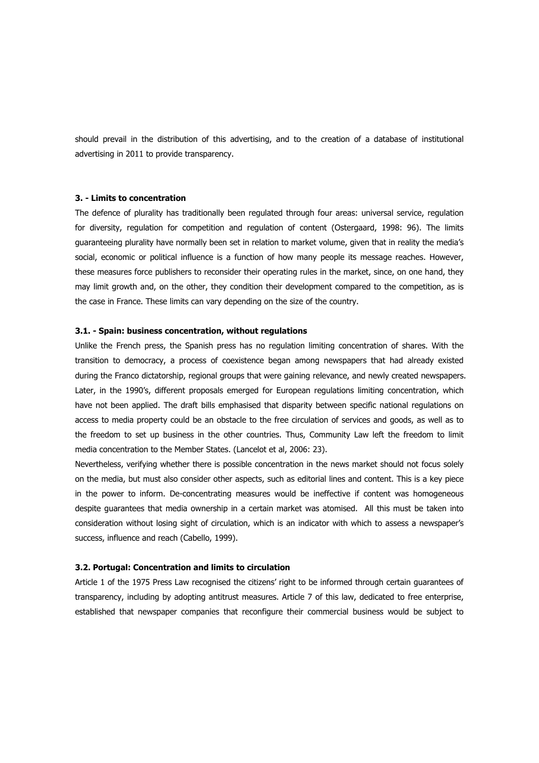should prevail in the distribution of this advertising, and to the creation of a database of institutional advertising in 2011 to provide transparency.

### **3. - Limits to concentration**

The defence of plurality has traditionally been regulated through four areas: universal service, regulation for diversity, regulation for competition and regulation of content (Ostergaard, 1998: 96). The limits guaranteeing plurality have normally been set in relation to market volume, given that in reality the media's social, economic or political influence is a function of how many people its message reaches. However, these measures force publishers to reconsider their operating rules in the market, since, on one hand, they may limit growth and, on the other, they condition their development compared to the competition, as is the case in France. These limits can vary depending on the size of the country.

# **3.1. - Spain: business concentration, without regulations**

Unlike the French press, the Spanish press has no regulation limiting concentration of shares. With the transition to democracy, a process of coexistence began among newspapers that had already existed during the Franco dictatorship, regional groups that were gaining relevance, and newly created newspapers. Later, in the 1990's, different proposals emerged for European regulations limiting concentration, which have not been applied. The draft bills emphasised that disparity between specific national regulations on access to media property could be an obstacle to the free circulation of services and goods, as well as to the freedom to set up business in the other countries. Thus, Community Law left the freedom to limit media concentration to the Member States. (Lancelot et al, 2006: 23).

Nevertheless, verifying whether there is possible concentration in the news market should not focus solely on the media, but must also consider other aspects, such as editorial lines and content. This is a key piece in the power to inform. De-concentrating measures would be ineffective if content was homogeneous despite guarantees that media ownership in a certain market was atomised. All this must be taken into consideration without losing sight of circulation, which is an indicator with which to assess a newspaper's success, influence and reach (Cabello, 1999).

#### **3.2. Portugal: Concentration and limits to circulation**

Article 1 of the 1975 Press Law recognised the citizens' right to be informed through certain guarantees of transparency, including by adopting antitrust measures. Article 7 of this law, dedicated to free enterprise, established that newspaper companies that reconfigure their commercial business would be subject to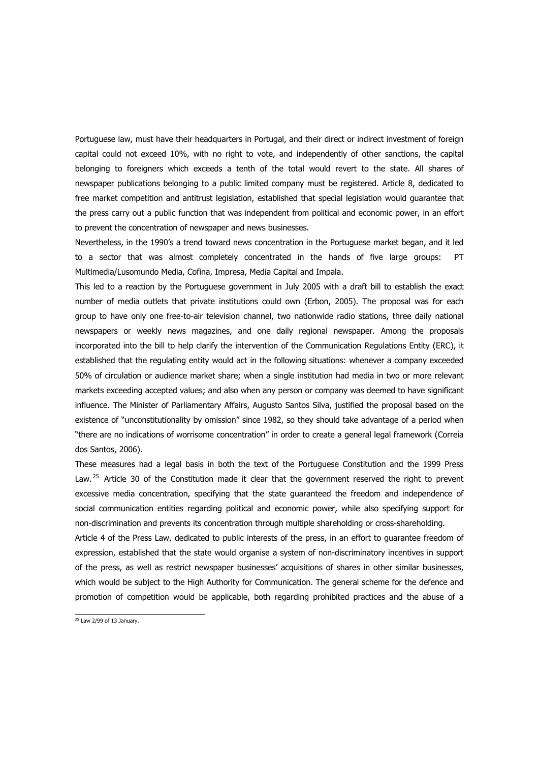Portuguese law, must have their headquarters in Portugal, and their direct or indirect investment of foreign capital could not exceed 10%, with no right to vote, and independently of other sanctions, the capital belonging to foreigners which exceeds a tenth of the total would revert to the state. All shares of newspaper publications belonging to a public limited company must be registered. Article 8, dedicated to free market competition and antitrust legislation, established that special legislation would guarantee that the press carry out a public function that was independent from political and economic power, in an effort to prevent the concentration of newspaper and news businesses.

Nevertheless, in the 1990's a trend toward news concentration in the Portuguese market began, and it led to a sector that was almost completely concentrated in the hands of five large groups: PT Multimedia/Lusomundo Media, Cofina, Impresa, Media Capital and Impala.

This led to a reaction by the Portuguese government in July 2005 with a draft bill to establish the exact number of media outlets that private institutions could own (Erbon, 2005). The proposal was for each group to have only one free-to-air television channel, two nationwide radio stations, three daily national newspapers or weekly news magazines, and one daily regional newspaper. Among the proposals incorporated into the bill to help clarify the intervention of the Communication Regulations Entity (ERC), it established that the regulating entity would act in the following situations: whenever a company exceeded 50% of circulation or audience market share; when a single institution had media in two or more relevant markets exceeding accepted values; and also when any person or company was deemed to have significant influence. The Minister of Parliamentary Affairs, Augusto Santos Silva, justified the proposal based on the existence of "unconstitutionality by omission" since 1982, so they should take advantage of a period when "there are no indications of worrisome concentration" in order to create a general legal framework (Correia dos Santos, 2006).

non-discrimination and prevents its concentration through multiple shareholding or cross-shareholding. These measures had a legal basis in both the text of the Portuguese Constitution and the 1999 Press Law. <sup>[25](#page-10-0)</sup> Article 30 of the Constitution made it clear that the government reserved the right to prevent excessive media concentration, specifying that the state guaranteed the freedom and independence of social communication entities regarding political and economic power, while also specifying support for

Article 4 of the Press Law, dedicated to public interests of the press, in an effort to guarantee freedom of expression, established that the state would organise a system of non-discriminatory incentives in support of the press, as well as restrict newspaper businesses' acquisitions of shares in other similar businesses, which would be subject to the High Authority for Communication. The general scheme for the defence and promotion of competition would be applicable, both regarding prohibited practices and the abuse of a

<span id="page-10-0"></span> $25$  Law 2/99 of 13 January.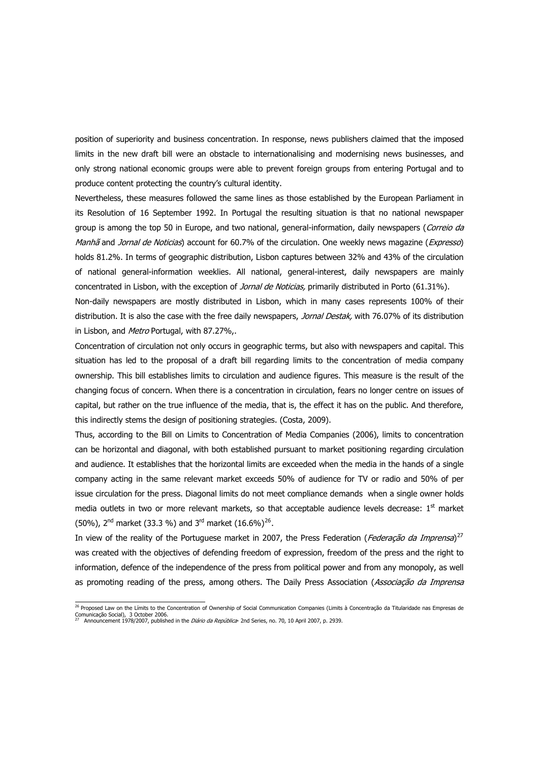position of superiority and business concentration. In response, news publishers claimed that the imposed limits in the new draft bill were an obstacle to internationalising and modernising news businesses, and only strong national economic groups were able to prevent foreign groups from entering Portugal and to produce content protecting the country's cultural identity.

Nevertheless, these measures followed the same lines as those established by the European Parliament in its Resolution of 16 September 1992. In Portugal the resulting situation is that no national newspaper group is among the top 50 in Europe, and two national, general-information, daily newspapers (Correio da Manhã and Jornal de Noticias) account for 60.7% of the circulation. One weekly news magazine (Expresso) holds 81.2%. In terms of geographic distribution, Lisbon captures between 32% and 43% of the circulation of national general-information weeklies. All national, general-interest, daily newspapers are mainly concentrated in Lisbon, with the exception of Jornal de Noticias, primarily distributed in Porto (61.31%).

Non-daily newspapers are mostly distributed in Lisbon, which in many cases represents 100% of their distribution. It is also the case with the free daily newspapers, Jornal Destak, with 76.07% of its distribution in Lisbon, and Metro Portugal, with 87.27%,.

Concentration of circulation not only occurs in geographic terms, but also with newspapers and capital. This situation has led to the proposal of a draft bill regarding limits to the concentration of media company ownership. This bill establishes limits to circulation and audience figures. This measure is the result of the changing focus of concern. When there is a concentration in circulation, fears no longer centre on issues of capital, but rather on the true influence of the media, that is, the effect it has on the public. And therefore, this indirectly stems the design of positioning strategies. (Costa, 2009).

Thus, according to the Bill on Limits to Concentration of Media Companies (2006), limits to concentration can be horizontal and diagonal, with both established pursuant to market positioning regarding circulation and audience. It establishes that the horizontal limits are exceeded when the media in the hands of a single company acting in the same relevant market exceeds 50% of audience for TV or radio and 50% of per issue circulation for the press. Diagonal limits do not meet compliance demands when a single owner holds media outlets in two or more relevant markets, so that acceptable audience levels decrease: 1<sup>st</sup> market (50%),  $2^{nd}$  market (33.3 %) and  $3^{rd}$  market (16.6%)<sup>[26](#page-11-0)</sup>.

In view of the reality of the Portuguese market in 2007, the Press Federation (*Federação da Imprensa*)<sup>[27](#page-11-1)</sup> was created with the objectives of defending freedom of expression, freedom of the press and the right to information, defence of the independence of the press from political power and from any monopoly, as well as promoting reading of the press, among others. The Daily Press Association (Associação da Imprensa

<span id="page-11-1"></span><span id="page-11-0"></span> 26 Proposed Law on the Límits to the Concentration of Ownership of Social Communication Companies (Limits à Concentração da Titularidade nas Empresas de Comunicação Social), 3 October 2006.<br><sup>27</sup> Appouncement 1978/2007, publish 27 Announcement 1978/2007, published in the *Diário da República*- 2nd Series, no. 70, 10 April 2007, p. 2939.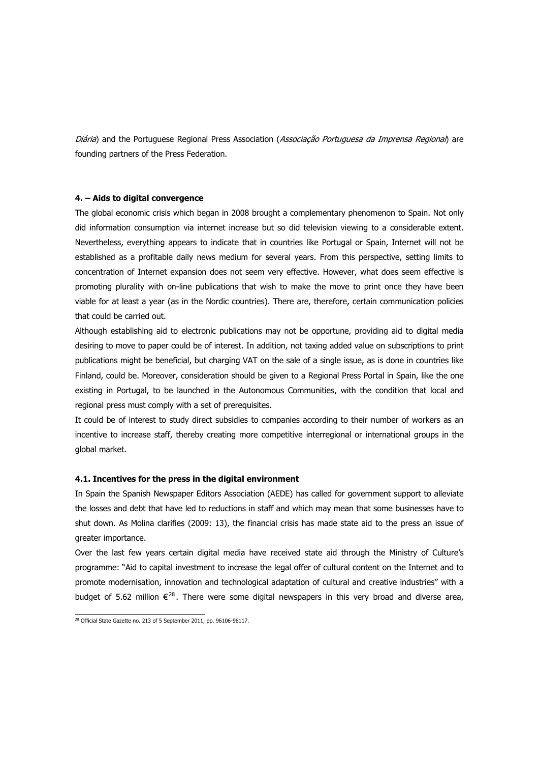Diária) and the Portuguese Regional Press Association (Associação Portuguesa da Imprensa Regional) are founding partners of the Press Federation.

### **4. – Aids to digital convergence**

The global economic crisis which began in 2008 brought a complementary phenomenon to Spain. Not only did information consumption via internet increase but so did television viewing to a considerable extent. Nevertheless, everything appears to indicate that in countries like Portugal or Spain, Internet will not be established as a profitable daily news medium for several years. From this perspective, setting limits to concentration of Internet expansion does not seem very effective. However, what does seem effective is promoting plurality with on-line publications that wish to make the move to print once they have been viable for at least a year (as in the Nordic countries). There are, therefore, certain communication policies that could be carried out.

Although establishing aid to electronic publications may not be opportune, providing aid to digital media desiring to move to paper could be of interest. In addition, not taxing added value on subscriptions to print publications might be beneficial, but charging VAT on the sale of a single issue, as is done in countries like Finland, could be. Moreover, consideration should be given to a Regional Press Portal in Spain, like the one existing in Portugal, to be launched in the Autonomous Communities, with the condition that local and regional press must comply with a set of prerequisites.

It could be of interest to study direct subsidies to companies according to their number of workers as an incentive to increase staff, thereby creating more competitive interregional or international groups in the global market.

#### **4.1. Incentives for the press in the digital environment**

In Spain the Spanish Newspaper Editors Association (AEDE) has called for government support to alleviate the losses and debt that have led to reductions in staff and which may mean that some businesses have to shut down. As Molina clarifies (2009: 13), the financial crisis has made state aid to the press an issue of greater importance.

Over the last few years certain digital media have received state aid through the Ministry of Culture's programme: "Aid to capital investment to increase the legal offer of cultural content on the Internet and to promote modernisation, innovation and technological adaptation of cultural and creative industries" with a budget of 5.62 million  $\epsilon^{28}$  $\epsilon^{28}$  $\epsilon^{28}$ . There were some digital newspapers in this very broad and diverse area,

<span id="page-12-0"></span> $\frac{28}{28}$  Official State Gazette no. 213 of 5 September 2011, pp. 96106-96117.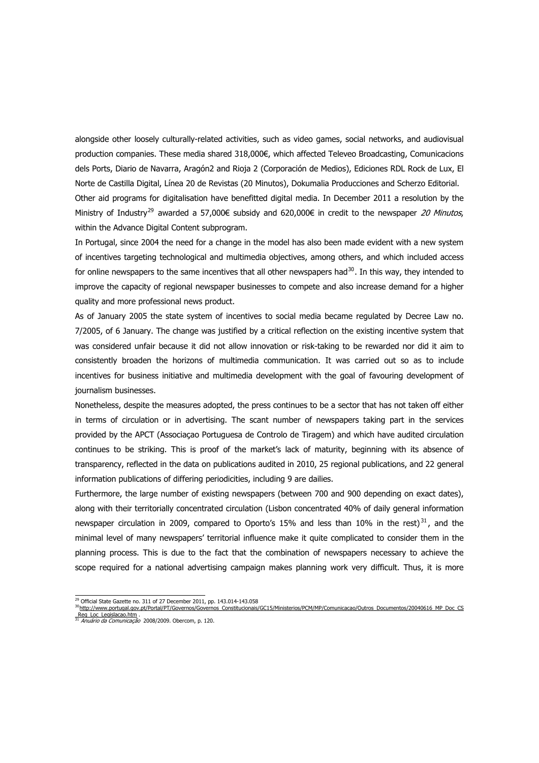alongside other loosely culturally-related activities, such as video games, social networks, and audiovisual production companies. These media shared 318,000€, which affected Televeo Broadcasting, Comunicacions dels Ports, Diario de Navarra, Aragón2 and Rioja 2 (Corporación de Medios), Ediciones RDL Rock de Lux, El Norte de Castilla Digital, Línea 20 de Revistas (20 Minutos), Dokumalia Producciones and Scherzo Editorial. Other aid programs for digitalisation have benefitted digital media. In December 2011 a resolution by the Ministry of Industry<sup>[29](#page-13-0)</sup> awarded a 57,000€ subsidy and 620,000€ in credit to the newspaper 20 Minutos, within the Advance Digital Content subprogram.

In Portugal, since 2004 the need for a change in the model has also been made evident with a new system of incentives targeting technological and multimedia objectives, among others, and which included access for online newspapers to the same incentives that all other newspapers had $30$ . In this way, they intended to improve the capacity of regional newspaper businesses to compete and also increase demand for a higher quality and more professional news product.

As of January 2005 the state system of incentives to social media became regulated by Decree Law no. 7/2005, of 6 January. The change was justified by a critical reflection on the existing incentive system that was considered unfair because it did not allow innovation or risk-taking to be rewarded nor did it aim to consistently broaden the horizons of multimedia communication. It was carried out so as to include incentives for business initiative and multimedia development with the goal of favouring development of journalism businesses.

Nonetheless, despite the measures adopted, the press continues to be a sector that has not taken off either in terms of circulation or in advertising. The scant number of newspapers taking part in the services provided by the APCT (Associaçao Portuguesa de Controlo de Tiragem) and which have audited circulation continues to be striking. This is proof of the market's lack of maturity, beginning with its absence of transparency, reflected in the data on publications audited in 2010, 25 regional publications, and 22 general information publications of differing periodicities, including 9 are dailies.

Furthermore, the large number of existing newspapers (between 700 and 900 depending on exact dates), along with their territorially concentrated circulation (Lisbon concentrated 40% of daily general information newspaper circulation in 2009, compared to Oporto's 15% and less than 10% in the rest)<sup>[31](#page-13-2)</sup>, and the minimal level of many newspapers' territorial influence make it quite complicated to consider them in the planning process. This is due to the fact that the combination of newspapers necessary to achieve the scope required for a national advertising campaign makes planning work very difficult. Thus, it is more

 $^{29}$  Official State Gazette no. 311 of 27 December 2011, pp. 143.014-143.058 <sup>30</sup> [http://www.portugal.gov.pt/Portal/PT/Governos/Governos\\_Constitucionais/GC15/Ministerios/PCM/MP/Comunicacao/Outros\\_Documentos/20040616\\_MP\\_Doc\\_CS](http://www.portugal.gov.pt/Portal/PT/Governos/Governos_Constitucionais/GC15/Ministerios/PCM/MP/Comunicacao/Outros_Documentos/20040616_MP_Doc_CS_Reg_Loc_Legislacao.htm)

<span id="page-13-1"></span><span id="page-13-0"></span>

<span id="page-13-2"></span>[\\_Reg\\_Loc\\_Legislacao.htm](http://www.portugal.gov.pt/Portal/PT/Governos/Governos_Constitucionais/GC15/Ministerios/PCM/MP/Comunicacao/Outros_Documentos/20040616_MP_Doc_CS_Reg_Loc_Legislacao.htm) . [31](http://www.portugal.gov.pt/Portal/PT/Governos/Governos_Constitucionais/GC15/Ministerios/PCM/MP/Comunicacao/Outros_Documentos/20040616_MP_Doc_CS_Reg_Loc_Legislacao.htm) Anuário da Comunicação 2008/2009. Obercom, p. 120.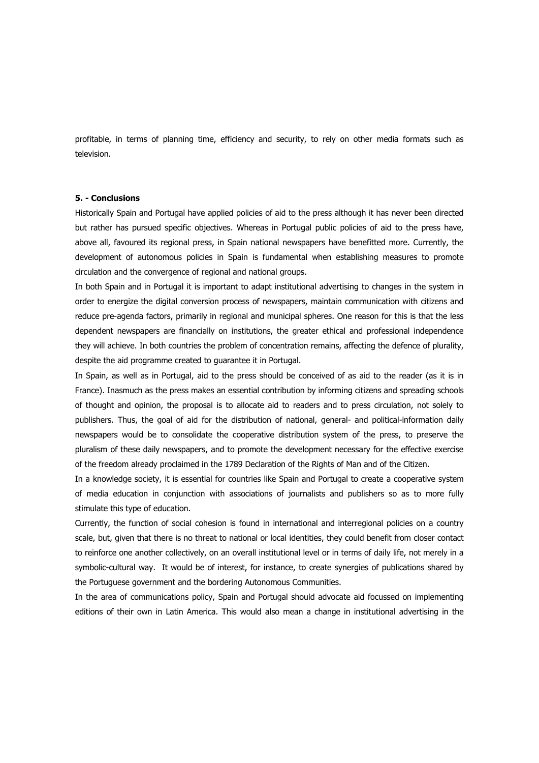profitable, in terms of planning time, efficiency and security, to rely on other media formats such as television.

#### **5. - Conclusions**

Historically Spain and Portugal have applied policies of aid to the press although it has never been directed but rather has pursued specific objectives. Whereas in Portugal public policies of aid to the press have, above all, favoured its regional press, in Spain national newspapers have benefitted more. Currently, the development of autonomous policies in Spain is fundamental when establishing measures to promote circulation and the convergence of regional and national groups.

In both Spain and in Portugal it is important to adapt institutional advertising to changes in the system in order to energize the digital conversion process of newspapers, maintain communication with citizens and reduce pre-agenda factors, primarily in regional and municipal spheres. One reason for this is that the less dependent newspapers are financially on institutions, the greater ethical and professional independence they will achieve. In both countries the problem of concentration remains, affecting the defence of plurality, despite the aid programme created to guarantee it in Portugal.

In Spain, as well as in Portugal, aid to the press should be conceived of as aid to the reader (as it is in France). Inasmuch as the press makes an essential contribution by informing citizens and spreading schools of thought and opinion, the proposal is to allocate aid to readers and to press circulation, not solely to publishers. Thus, the goal of aid for the distribution of national, general- and political-information daily newspapers would be to consolidate the cooperative distribution system of the press, to preserve the pluralism of these daily newspapers, and to promote the development necessary for the effective exercise of the freedom already proclaimed in the 1789 Declaration of the Rights of Man and of the Citizen.

In a knowledge society, it is essential for countries like Spain and Portugal to create a cooperative system of media education in conjunction with associations of journalists and publishers so as to more fully stimulate this type of education.

Currently, the function of social cohesion is found in international and interregional policies on a country scale, but, given that there is no threat to national or local identities, they could benefit from closer contact to reinforce one another collectively, on an overall institutional level or in terms of daily life, not merely in a symbolic-cultural way. It would be of interest, for instance, to create synergies of publications shared by the Portuguese government and the bordering Autonomous Communities.

In the area of communications policy, Spain and Portugal should advocate aid focussed on implementing editions of their own in Latin America. This would also mean a change in institutional advertising in the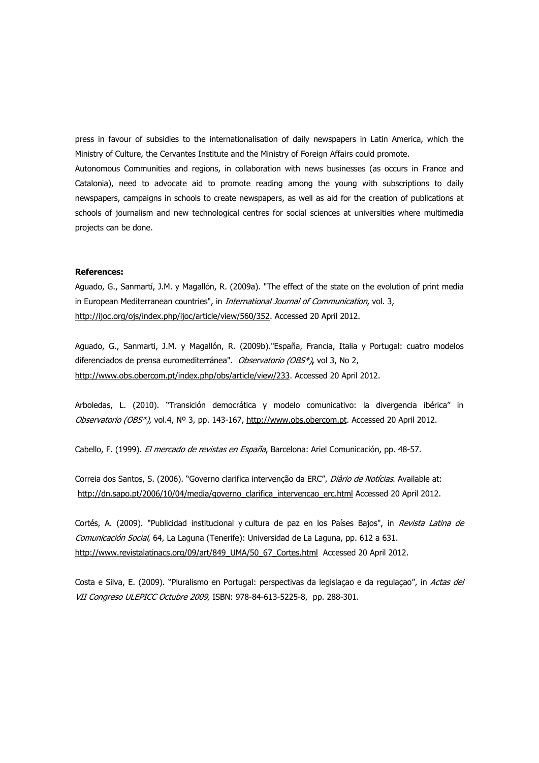press in favour of subsidies to the internationalisation of daily newspapers in Latin America, which the Ministry of Culture, the Cervantes Institute and the Ministry of Foreign Affairs could promote.

Autonomous Communities and regions, in collaboration with news businesses (as occurs in France and Catalonia), need to advocate aid to promote reading among the young with subscriptions to daily newspapers, campaigns in schools to create newspapers, as well as aid for the creation of publications at schools of journalism and new technological centres for social sciences at universities where multimedia projects can be done.

# **References:**

Aguado, G., Sanmartí, J.M. y Magallón, R. (2009a). "The effect of the state on the evolution of print media in European Mediterranean countries", in *International Journal of Communication*, vol. 3, <http://ijoc.org/ojs/index.php/ijoc/article/view/560/352>. Accessed 20 April 2012.

Aguado, G., Sanmarti, J.M. y Magallón, R. (2009b)."España, Francia, Italia y Portugal: cuatro modelos diferenciados de prensa euromediterránea". Observatorio (OBS\*)**,** vol 3, No 2, <http://www.obs.obercom.pt/index.php/obs/article/view/233>. Accessed 20 April 2012.

Arboledas, L. (2010). "Transición democrática y modelo comunicativo: la divergencia ibérica" in Observatorio (OBS\*), vol.4, Nº 3, pp. 143-167, [http://www.obs.obercom.pt](http://www.obs.obercom.pt/). Accessed 20 April 2012.

Cabello, F. (1999). El mercado de revistas en España, Barcelona: Ariel Comunicación, pp. 48-57.

Correia dos Santos, S. (2006). "Governo clarifica intervenção da ERC", Diàrio de Notícias. Available at: [http://dn.sapo.pt/2006/10/04/media/governo\\_clarifica\\_intervencao\\_erc.html](http://dn.sapo.pt/2006/10/04/media/governo_clarifica_intervencao_erc.html) Accessed 20 April 2012.

Cortés, A. (2009). "Publicidad institucional y cultura de paz en los Países Bajos", in Revista Latina de Comunicación Social, 64, La Laguna (Tenerife): Universidad de La Laguna, pp. 612 a 631. [http://www.revistalatinacs.org/09/art/849\\_UMA/50\\_67\\_Cortes.html](http://www.revistalatinacs.org/09/art/849_UMA/50_67_Cortes.html) Accessed 20 April 2012.

Costa e Silva, E. (2009). "Pluralismo en Portugal: perspectivas da legislação e da regulação", in Actas del VII Congreso ULEPICC Octubre 2009, ISBN: 978-84-613-5225-8, pp. 288-301.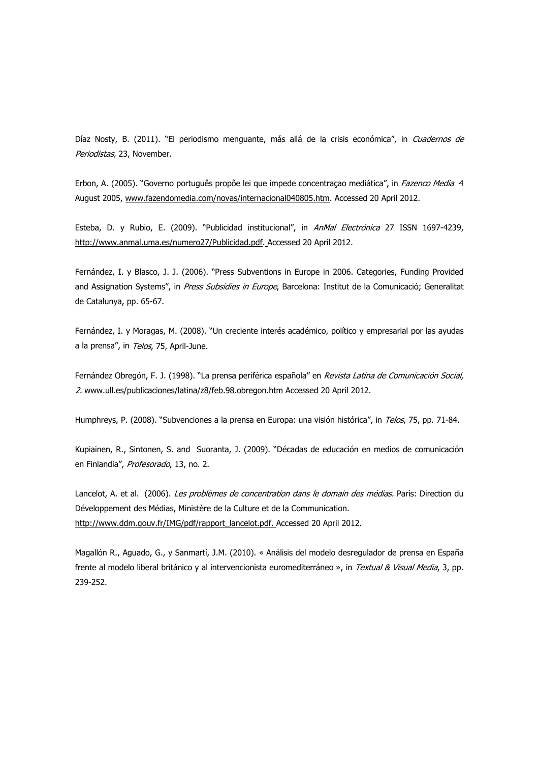Díaz Nosty, B. (2011). "El periodismo menquante, más allá de la crisis económica", in Cuadernos de Periodistas, 23, November.

Erbon, A. (2005). "Governo português propôe lei que impede concentraçao mediática", in *Fazenco Media* 4 August 2005, [www.fazendomedia.com/novas/internacional040805.htm](http://www.fazendomedia.com/novas/internacional040805.htm). Accessed 20 April 2012.

Esteba, D. y Rubio, E. (2009). "Publicidad institucional", in AnMal Electrónica 27 ISSN 1697-4239, <http://www.anmal.uma.es/numero27/Publicidad.pdf>. Accessed 20 April 2012.

Fernández, I. y Blasco, J. J. (2006). "Press Subventions in Europe in 2006. Categories, Funding Provided and Assignation Systems", in Press Subsidies in Europe, Barcelona: Institut de la Comunicació; Generalitat de Catalunya, pp. 65-67.

Fernández, I. y Moragas, M. (2008). "Un creciente interés académico, político y empresarial por las ayudas a la prensa", in Telos, 75, April-June.

Fernández Obregón, F. J. (1998). "La prensa periférica española" en Revista Latina de Comunicación Social, 2. [www.ull.es/publicaciones/latina/z8/feb.98.obregon.htm](http://www.ull.es/publicaciones/latina/z8/feb.98.obregon.htm) Accessed 20 April 2012.

Humphreys, P. (2008). "Subvenciones a la prensa en Europa: una visión histórica", in Telos, 75, pp. 71-84.

Kupiainen, R., Sintonen, S. and Suoranta, J. (2009). "Décadas de educación en medios de comunicación en Finlandia", Profesorado, 13, no. 2.

Lancelot, A. et al. (2006). Les problèmes de concentration dans le domain des médias. París: Direction du Développement des Médias, Ministère de la Culture et de la Communication. [http://www.ddm.gouv.fr/IMG/pdf/rapport\\_lancelot.pdf.](http://www.ddm.gouv.fr/IMG/pdf/rapport_lancelot.pdf) Accessed 20 April 2012.

Magallón R., Aguado, G., y Sanmartí, J.M. (2010). « Análisis del modelo desregulador de prensa en España frente al modelo liberal británico y al intervencionista euromediterráneo », in Textual & Visual Media, 3, pp. 239-252.